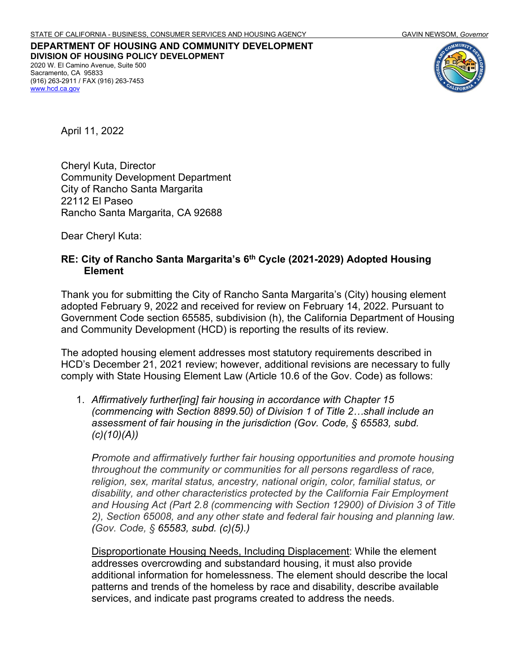**DEPARTMENT OF HOUSING AND COMMUNITY DEVELOPMENT DIVISION OF HOUSING POLICY DEVELOPMENT** 2020 W. El Camino Avenue, Suite 500 Sacramento, CA 95833 (916) 263-2911 / FAX (916) 263-7453 [www.hcd.ca.gov](http://www.hcd.ca.gov/)



April 11, 2022

Cheryl Kuta, Director Community Development Department City of Rancho Santa Margarita 22112 El Paseo Rancho Santa Margarita, CA 92688

Dear Cheryl Kuta:

## **RE: City of Rancho Santa Margarita's 6th Cycle (2021-2029) Adopted Housing Element**

Thank you for submitting the City of Rancho Santa Margarita's (City) housing element adopted February 9, 2022 and received for review on February 14, 2022. Pursuant to Government Code section 65585, subdivision (h), the California Department of Housing and Community Development (HCD) is reporting the results of its review.

The adopted housing element addresses most statutory requirements described in HCD's December 21, 2021 review; however, additional revisions are necessary to fully comply with State Housing Element Law (Article 10.6 of the Gov. Code) as follows:

1. *Affirmatively further[ing] fair housing in accordance with Chapter 15 (commencing with Section 8899.50) of Division 1 of Title 2…shall include an assessment of fair housing in the jurisdiction (Gov. Code, § 65583, subd. (c)(10)(A))*

*Promote and affirmatively further fair housing opportunities and promote housing throughout the community or communities for all persons regardless of race, religion, sex, marital status, ancestry, national origin, color, familial status, or disability, and other characteristics protected by the California Fair Employment and Housing Act (Part 2.8 (commencing with Section 12900) of Division 3 of Title 2), Section 65008, and any other state and federal fair housing and planning law. (Gov. Code, § 65583, subd. (c)(5).)*

Disproportionate Housing Needs, Including Displacement: While the element addresses overcrowding and substandard housing, it must also provide additional information for homelessness. The element should describe the local patterns and trends of the homeless by race and disability, describe available services, and indicate past programs created to address the needs.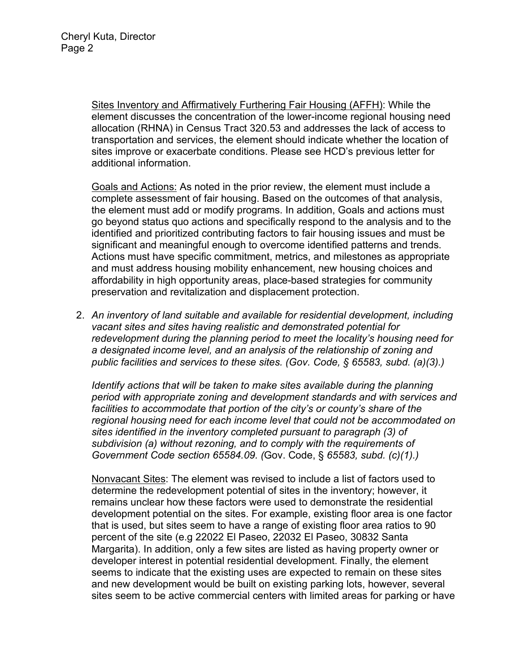Sites Inventory and Affirmatively Furthering Fair Housing (AFFH): While the element discusses the concentration of the lower-income regional housing need allocation (RHNA) in Census Tract 320.53 and addresses the lack of access to transportation and services, the element should indicate whether the location of sites improve or exacerbate conditions. Please see HCD's previous letter for additional information.

Goals and Actions: As noted in the prior review, the element must include a complete assessment of fair housing. Based on the outcomes of that analysis, the element must add or modify programs. In addition, Goals and actions must go beyond status quo actions and specifically respond to the analysis and to the identified and prioritized contributing factors to fair housing issues and must be significant and meaningful enough to overcome identified patterns and trends. Actions must have specific commitment, metrics, and milestones as appropriate and must address housing mobility enhancement, new housing choices and affordability in high opportunity areas, place-based strategies for community preservation and revitalization and displacement protection.

2. *An inventory of land suitable and available for residential development, including vacant sites and sites having realistic and demonstrated potential for redevelopment during the planning period to meet the locality's housing need for a designated income level, and an analysis of the relationship of zoning and public facilities and services to these sites. (Gov. Code, § 65583, subd. (a)(3).)*

*Identify actions that will be taken to make sites available during the planning period with appropriate zoning and development standards and with services and facilities to accommodate that portion of the city's or county's share of the regional housing need for each income level that could not be accommodated on sites identified in the inventory completed pursuant to paragraph (3) of subdivision (a) without rezoning, and to comply with the requirements of Government Code section 65584.09. (*Gov. Code, § *65583, subd. (c)(1).)*

Nonvacant Sites: The element was revised to include a list of factors used to determine the redevelopment potential of sites in the inventory; however, it remains unclear how these factors were used to demonstrate the residential development potential on the sites. For example, existing floor area is one factor that is used, but sites seem to have a range of existing floor area ratios to 90 percent of the site (e.g 22022 El Paseo, 22032 El Paseo, 30832 Santa Margarita). In addition, only a few sites are listed as having property owner or developer interest in potential residential development. Finally, the element seems to indicate that the existing uses are expected to remain on these sites and new development would be built on existing parking lots, however, several sites seem to be active commercial centers with limited areas for parking or have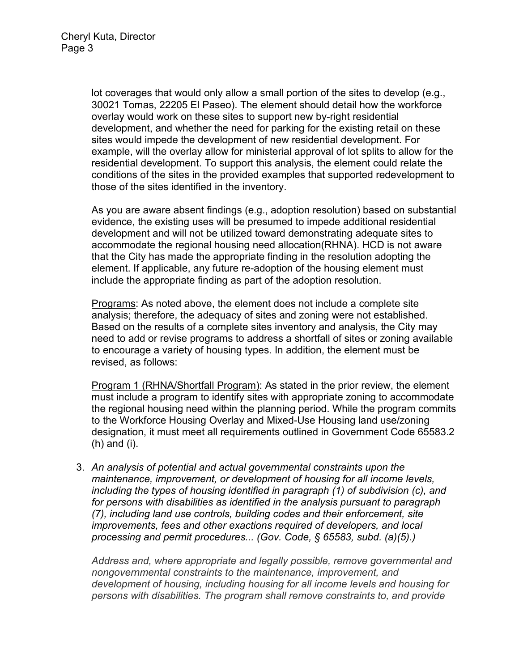lot coverages that would only allow a small portion of the sites to develop (e.g., 30021 Tomas, 22205 El Paseo). The element should detail how the workforce overlay would work on these sites to support new by-right residential development, and whether the need for parking for the existing retail on these sites would impede the development of new residential development. For example, will the overlay allow for ministerial approval of lot splits to allow for the residential development. To support this analysis, the element could relate the conditions of the sites in the provided examples that supported redevelopment to those of the sites identified in the inventory.

As you are aware absent findings (e.g., adoption resolution) based on substantial evidence, the existing uses will be presumed to impede additional residential development and will not be utilized toward demonstrating adequate sites to accommodate the regional housing need allocation(RHNA). HCD is not aware that the City has made the appropriate finding in the resolution adopting the element. If applicable, any future re-adoption of the housing element must include the appropriate finding as part of the adoption resolution.

Programs: As noted above, the element does not include a complete site analysis; therefore, the adequacy of sites and zoning were not established. Based on the results of a complete sites inventory and analysis, the City may need to add or revise programs to address a shortfall of sites or zoning available to encourage a variety of housing types. In addition, the element must be revised, as follows:

Program 1 (RHNA/Shortfall Program): As stated in the prior review, the element must include a program to identify sites with appropriate zoning to accommodate the regional housing need within the planning period. While the program commits to the Workforce Housing Overlay and Mixed-Use Housing land use/zoning designation, it must meet all requirements outlined in Government Code 65583.2 (h) and (i).

3. *An analysis of potential and actual governmental constraints upon the maintenance, improvement, or development of housing for all income levels, including the types of housing identified in paragraph (1) of subdivision (c), and for persons with disabilities as identified in the analysis pursuant to paragraph (7), including land use controls, building codes and their enforcement, site improvements, fees and other exactions required of developers, and local processing and permit procedures... (Gov. Code, § 65583, subd. (a)(5).)*

*Address and, where appropriate and legally possible, remove governmental and nongovernmental constraints to the maintenance, improvement, and development of housing, including housing for all income levels and housing for persons with disabilities. The program shall remove constraints to, and provide*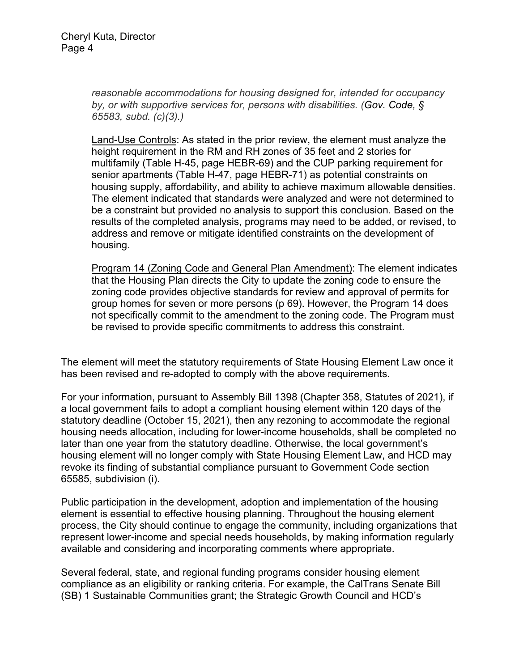*reasonable accommodations for housing designed for, intended for occupancy by, or with supportive services for, persons with disabilities. (Gov. Code, § 65583, subd. (c)(3).)*

Land-Use Controls: As stated in the prior review, the element must analyze the height requirement in the RM and RH zones of 35 feet and 2 stories for multifamily (Table H-45, page HEBR-69) and the CUP parking requirement for senior apartments (Table H-47, page HEBR-71) as potential constraints on housing supply, affordability, and ability to achieve maximum allowable densities. The element indicated that standards were analyzed and were not determined to be a constraint but provided no analysis to support this conclusion. Based on the results of the completed analysis, programs may need to be added, or revised, to address and remove or mitigate identified constraints on the development of housing.

Program 14 (Zoning Code and General Plan Amendment): The element indicates that the Housing Plan directs the City to update the zoning code to ensure the zoning code provides objective standards for review and approval of permits for group homes for seven or more persons (p 69). However, the Program 14 does not specifically commit to the amendment to the zoning code. The Program must be revised to provide specific commitments to address this constraint.

The element will meet the statutory requirements of State Housing Element Law once it has been revised and re-adopted to comply with the above requirements.

For your information, pursuant to Assembly Bill 1398 (Chapter 358, Statutes of 2021), if a local government fails to adopt a compliant housing element within 120 days of the statutory deadline (October 15, 2021), then any rezoning to accommodate the regional housing needs allocation, including for lower-income households, shall be completed no later than one year from the statutory deadline. Otherwise, the local government's housing element will no longer comply with State Housing Element Law, and HCD may revoke its finding of substantial compliance pursuant to Government Code section 65585, subdivision (i).

Public participation in the development, adoption and implementation of the housing element is essential to effective housing planning. Throughout the housing element process, the City should continue to engage the community, including organizations that represent lower-income and special needs households, by making information regularly available and considering and incorporating comments where appropriate.

Several federal, state, and regional funding programs consider housing element compliance as an eligibility or ranking criteria. For example, the CalTrans Senate Bill (SB) 1 Sustainable Communities grant; the Strategic Growth Council and HCD's